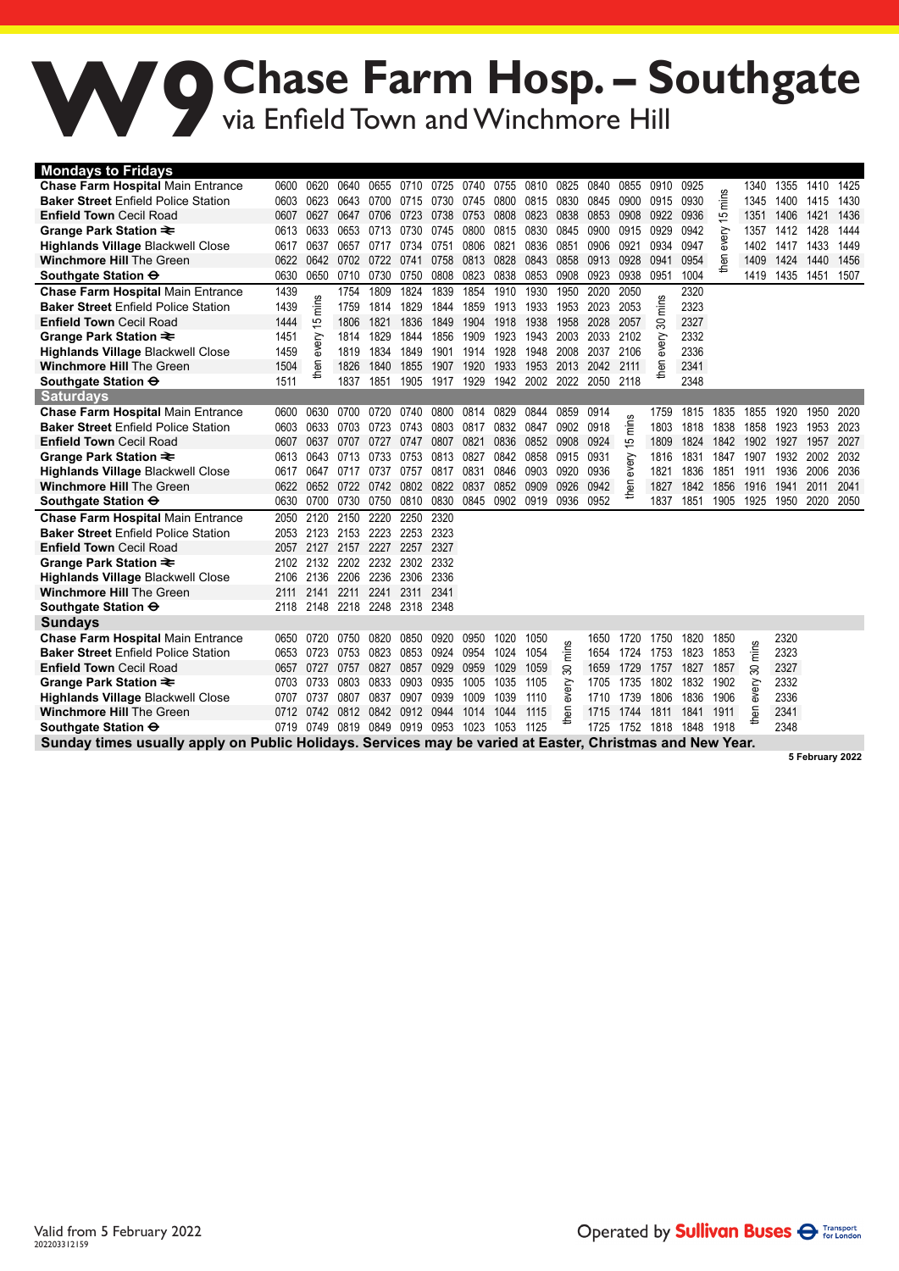## W9Chase Farm Hosp. – Southgate<br>
Via Enfield Town and Winchmore Hill via Enfield Town and Winchmore Hill

| <b>Mondays to Fridays</b>                                                                                |      |                     |           |      |      |      |      |      |      |       |      |       |          |      |       |       |      |      |      |
|----------------------------------------------------------------------------------------------------------|------|---------------------|-----------|------|------|------|------|------|------|-------|------|-------|----------|------|-------|-------|------|------|------|
| <b>Chase Farm Hospital Main Entrance</b>                                                                 | 0600 | 0620                | 0640      | 0655 | 0710 | 0725 | 0740 | 0755 | 0810 | 0825  | 0840 | 0855  | 0910     | 0925 |       | 1340  | 1355 | 1410 | 1425 |
| <b>Baker Street Enfield Police Station</b>                                                               | 0603 | 0623                | 0643      | 0700 | 0715 | 0730 | 0745 | 0800 | 0815 | 0830  | 0845 | 0900  | 0915     | 0930 | mins  | 1345  | 1400 | 1415 | 1430 |
| <b>Enfield Town Cecil Road</b>                                                                           | 0607 | 0627                | 0647      | 0706 | 0723 | 0738 | 0753 | 0808 | 0823 | 0838  | 0853 | 0908  | 0922     | 0936 | 15    | 1351  | 1406 | 1421 | 1436 |
| Grange Park Station ₹                                                                                    | 0613 | 0633                | 0653      | 0713 | 0730 | 0745 | 0800 | 0815 | 0830 | 0845  | 0900 | 0915  | 0929     | 0942 |       | 1357  | 1412 | 1428 | 1444 |
| <b>Highlands Village Blackwell Close</b>                                                                 | 0617 | 0637                | 0657      | 0717 | 0734 | 0751 | 0806 | 0821 | 0836 | 0851  | 0906 | 0921  | 0934     | 0947 | every | 1402  | 1417 | 1433 | 1449 |
| <b>Winchmore Hill The Green</b>                                                                          | 0622 | 0642                | 0702 0722 |      | 0741 | 0758 | 0813 | 0828 | 0843 | 0858  | 0913 | 0928  | 0941     | 0954 | then  | 1409  | 1424 | 1440 | 1456 |
| Southgate Station $\Theta$                                                                               | 0630 | 0650                | 0710      | 0730 | 0750 | 0808 | 0823 | 0838 | 0853 | 0908  | 0923 | 0938  | 0951     | 1004 |       | 1419  | 1435 | 1451 | 1507 |
| <b>Chase Farm Hospital Main Entrance</b>                                                                 | 1439 | ဖာ                  | 1754      | 1809 | 1824 | 1839 | 1854 | 1910 | 1930 | 1950  | 2020 | 2050  | ဖ        | 2320 |       |       |      |      |      |
| <b>Baker Street Enfield Police Station</b>                                                               | 1439 | Ë                   | 1759      | 1814 | 1829 | 1844 | 1859 | 1913 | 1933 | 1953  | 2023 | 2053  | 듵        | 2323 |       |       |      |      |      |
| <b>Enfield Town Cecil Road</b>                                                                           | 1444 | 15                  | 1806      | 1821 | 1836 | 1849 | 1904 | 1918 | 1938 | 1958  | 2028 | 2057  | 80       | 2327 |       |       |      |      |      |
| Grange Park Station ₹                                                                                    | 1451 |                     | 1814      | 1829 | 1844 | 1856 | 1909 | 1923 | 1943 | 2003  | 2033 | 2102  |          | 2332 |       |       |      |      |      |
| <b>Highlands Village Blackwell Close</b>                                                                 | 1459 | every               | 1819      | 1834 | 1849 | 1901 | 1914 | 1928 | 1948 | 2008  | 2037 | 2106  | every    | 2336 |       |       |      |      |      |
| <b>Winchmore Hill The Green</b>                                                                          | 1504 | then                | 1826      | 1840 | 1855 | 1907 | 1920 | 1933 | 1953 | 2013  | 2042 | 2111  | <b>E</b> | 2341 |       |       |      |      |      |
| Southgate Station $\Theta$                                                                               | 1511 |                     | 1837      | 1851 | 1905 | 1917 | 1929 | 1942 | 2002 | 2022  | 2050 | 2118  |          | 2348 |       |       |      |      |      |
| <b>Saturdays</b>                                                                                         |      |                     |           |      |      |      |      |      |      |       |      |       |          |      |       |       |      |      |      |
| <b>Chase Farm Hospital Main Entrance</b>                                                                 | 0600 | 0630                | 0700      | 0720 | 0740 | 0800 | 0814 | 0829 | 0844 | 0859  | 0914 |       | 1759     | 1815 | 1835  | 1855  | 1920 | 1950 | 2020 |
| <b>Baker Street Enfield Police Station</b>                                                               | 0603 | 0633                | 0703      | 0723 | 0743 | 0803 | 0817 | 0832 | 0847 | 0902  | 0918 | mins  | 1803     | 1818 | 1838  | 1858  | 1923 | 1953 | 2023 |
| <b>Enfield Town Cecil Road</b>                                                                           | 0607 | 0637                | 0707      | 0727 | 0747 | 0807 | 0821 | 0836 | 0852 | 0908  | 0924 | 15    | 1809     | 1824 | 1842  | 1902  | 1927 | 1957 | 2027 |
| Grange Park Station ₹                                                                                    | 0613 | 0643                | 0713      | 0733 | 0753 | 0813 | 0827 | 0842 | 0858 | 0915  | 0931 | every | 1816     | 1831 | 1847  | 1907  | 1932 | 2002 | 2032 |
| <b>Highlands Village Blackwell Close</b>                                                                 | 0617 | 0647                | 0717      | 0737 | 0757 | 0817 | 0831 | 0846 | 0903 | 0920  | 0936 |       | 1821     | 1836 | 1851  | 1911  | 1936 | 2006 | 2036 |
| <b>Winchmore Hill The Green</b>                                                                          | 0622 | 0652                | 0722 0742 |      | 0802 | 0822 | 0837 | 0852 | 0909 | 0926  | 0942 | then  | 1827     | 1842 | 1856  | 1916  | 1941 | 2011 | 2041 |
| Southgate Station $\Theta$                                                                               | 0630 | 0700                | 0730      | 0750 | 0810 | 0830 | 0845 | 0902 | 0919 | 0936  | 0952 |       | 1837     | 1851 | 1905  | 1925  | 1950 | 2020 | 2050 |
| <b>Chase Farm Hospital Main Entrance</b>                                                                 | 2050 | 2120                | 2150      | 2220 | 2250 | 2320 |      |      |      |       |      |       |          |      |       |       |      |      |      |
| <b>Baker Street Enfield Police Station</b>                                                               | 2053 | 2123                | 2153      | 2223 | 2253 | 2323 |      |      |      |       |      |       |          |      |       |       |      |      |      |
| <b>Enfield Town Cecil Road</b>                                                                           | 2057 | 2127                | 2157      | 2227 | 2257 | 2327 |      |      |      |       |      |       |          |      |       |       |      |      |      |
| Grange Park Station $\equiv$                                                                             | 2102 | 2132                | 2202      | 2232 | 2302 | 2332 |      |      |      |       |      |       |          |      |       |       |      |      |      |
| <b>Highlands Village Blackwell Close</b>                                                                 | 2106 | 2136                | 2206      | 2236 | 2306 | 2336 |      |      |      |       |      |       |          |      |       |       |      |      |      |
| <b>Winchmore Hill The Green</b>                                                                          | 2111 | 2141                | 2211      | 2241 | 2311 | 2341 |      |      |      |       |      |       |          |      |       |       |      |      |      |
| Southgate Station <del>O</del>                                                                           | 2118 | 2148                | 2218      | 2248 | 2318 | 2348 |      |      |      |       |      |       |          |      |       |       |      |      |      |
| <b>Sundays</b>                                                                                           |      |                     |           |      |      |      |      |      |      |       |      |       |          |      |       |       |      |      |      |
| <b>Chase Farm Hospital Main Entrance</b>                                                                 | 0650 | 0720                | 0750      | 0820 | 0850 | 0920 | 0950 | 1020 | 1050 |       | 1650 | 1720  | 1750     | 1820 | 1850  |       | 2320 |      |      |
| <b>Baker Street Enfield Police Station</b>                                                               | 0653 | 0723                | 0753      | 0823 | 0853 | 0924 | 0954 | 1024 | 1054 | mins  | 1654 | 1724  | 1753     | 1823 | 1853  | mins  | 2323 |      |      |
| <b>Enfield Town Cecil Road</b>                                                                           | 0657 | 0727                | 0757      | 0827 | 0857 | 0929 | 0959 | 1029 | 1059 | 30    | 1659 | 1729  | 1757     | 1827 | 1857  | ౚ     | 2327 |      |      |
| Grange Park Station ₹                                                                                    | 0703 | 0733                | 0803      | 0833 | 0903 | 0935 | 1005 | 1035 | 1105 | every | 1705 | 1735  | 1802     | 1832 | 1902  | every | 2332 |      |      |
| <b>Highlands Village Blackwell Close</b>                                                                 | 0707 | 0737                | 0807      | 0837 | 0907 | 0939 | 1009 | 1039 | 1110 |       | 1710 | 1739  | 1806     | 1836 | 1906  |       | 2336 |      |      |
| <b>Winchmore Hill The Green</b>                                                                          | 0712 | 0742                | 0812 0842 |      | 0912 | 0944 | 1014 | 1044 | 1115 | Θũ    | 1715 | 1744  | 1811     | 1841 | 1911  | then  | 2341 |      |      |
| Southgate Station $\Theta$                                                                               |      | 0719 0749 0819 0849 |           |      | 0919 | 0953 | 1023 | 1053 | 1125 |       | 1725 | 1752  | 1818     | 1848 | 1918  |       | 2348 |      |      |
| Sunday times usually apply on Public Holidays. Services may be varied at Easter, Christmas and New Year. |      |                     |           |      |      |      |      |      |      |       |      |       |          |      |       |       |      |      |      |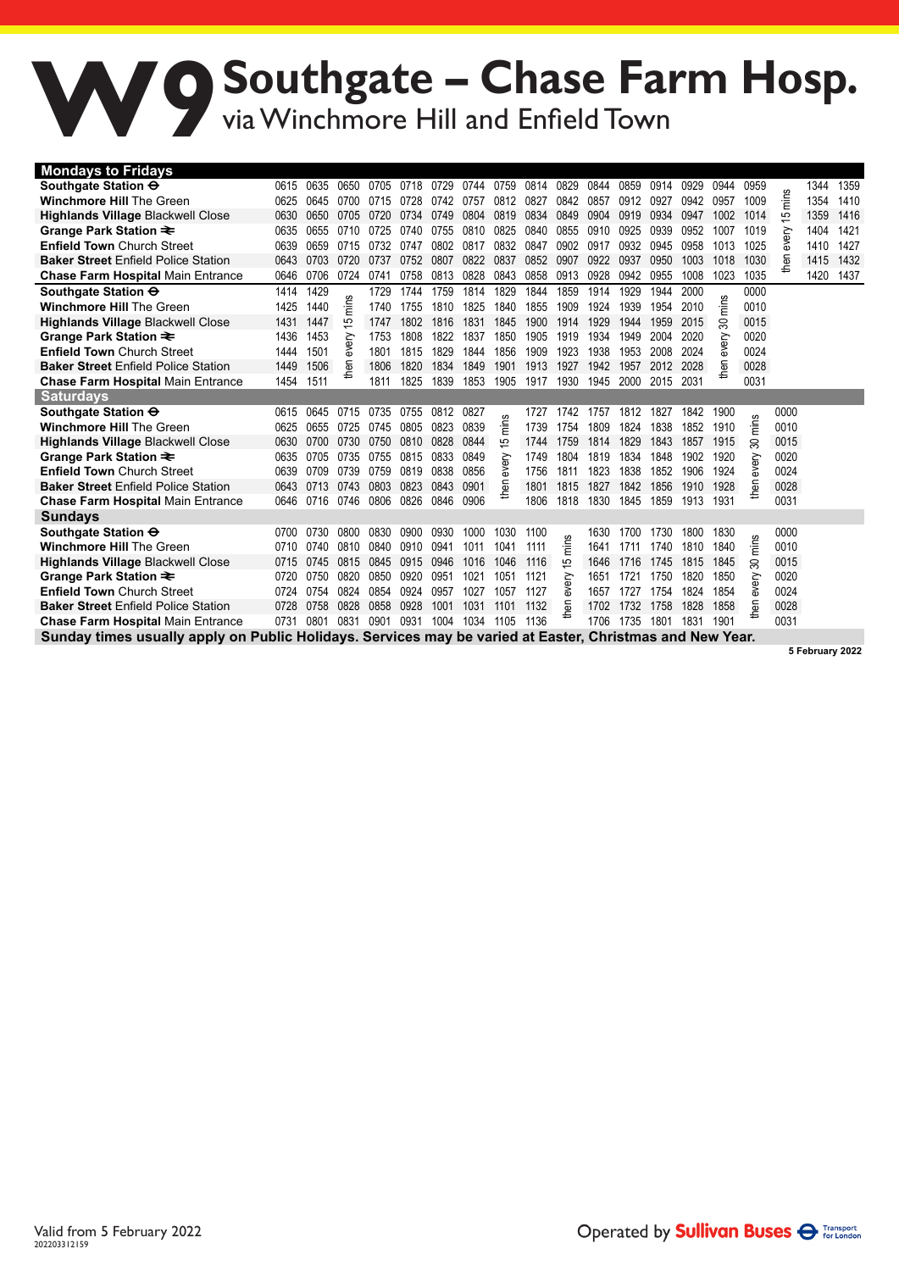## **Southgate – Chase Farm Hosp.** via Winchmore Hill and Enfield Town **W9**

| <b>Mondays to Fridays</b>                                                                                |      |      |      |      |      |      |      |            |      |       |      |      |      |      |      |       |      |                 |      |
|----------------------------------------------------------------------------------------------------------|------|------|------|------|------|------|------|------------|------|-------|------|------|------|------|------|-------|------|-----------------|------|
| Southgate Station $\Theta$                                                                               | 0615 | 0635 | 0650 | 0705 | 0718 | 0729 | 0744 | 0759       | 0814 | 0829  | 0844 | 0859 | 0914 | 0929 | 0944 | 0959  |      | 1344            | 1359 |
| <b>Winchmore Hill The Green</b>                                                                          | 0625 | 0645 | 0700 | 0715 | 0728 | 0742 | 0757 | 0812       | 0827 | 0842  | 0857 | 0912 | 0927 | 0942 | 0957 | 1009  | ř    | 1354            | 1410 |
| <b>Highlands Village Blackwell Close</b>                                                                 | 0630 | 0650 | 0705 | 0720 | 0734 | 0749 | 0804 | 0819       | 0834 | 0849  | 0904 | 0919 | 0934 | 0947 | 1002 | 1014  | 15   | 1359            | 1416 |
| Grange Park Station ₹                                                                                    | 0635 | 0655 | 0710 | 0725 | 0740 | 0755 | 0810 | 0825       | 0840 | 0855  | 0910 | 0925 | 0939 | 0952 | 1007 | 1019  | ΘŅ   | 1404            | 1421 |
| <b>Enfield Town Church Street</b>                                                                        | 0639 | 0659 | 0715 | 0732 | 0747 | 0802 | 0817 | 0832       | 0847 | 0902  | 0917 | 0932 | 0945 | 0958 | 1013 | 1025  | శ్   | 1410            | 1427 |
| <b>Baker Street Enfield Police Station</b>                                                               | 0643 | 0703 | 0720 | 0737 | 0752 | 0807 | 0822 | 0837       | 0852 | 0907  | 0922 | 0937 | 0950 | 1003 | 1018 | 1030  | then | 1415            | 1432 |
| <b>Chase Farm Hospital Main Entrance</b>                                                                 | 0646 | 0706 | 0724 | 0741 | 0758 | 0813 | 0828 | 0843       | 0858 | 0913  | 0928 | 0942 | 0955 | 1008 | 1023 | 1035  |      | 1420            | 1437 |
| Southgate Station $\Theta$                                                                               | 1414 | 1429 |      | 1729 | 1744 | 1759 | 1814 | 1829       | 1844 | 1859  | 1914 | 1929 | 1944 | 2000 |      | 0000  |      |                 |      |
| <b>Winchmore Hill The Green</b>                                                                          | 1425 | 1440 | ۴Ē   | 1740 | 1755 | 1810 | 1825 | 1840       | 1855 | 1909  | 1924 | 1939 | 1954 | 2010 | Ë    | 0010  |      |                 |      |
| <b>Highlands Village Blackwell Close</b>                                                                 | 1431 | 1447 | 15   | 1747 | 1802 | 1816 | 1831 | 1845       | 1900 | 1914  | 1929 | 1944 | 1959 | 2015 | 80   | 0015  |      |                 |      |
| Grange Park Station ₹                                                                                    | 1436 | 1453 | 응    | 1753 | 1808 | 1822 | 1837 | 1850       | 1905 | 1919  | 1934 | 1949 | 2004 | 2020 | ξŘ   | 0020  |      |                 |      |
| <b>Enfield Town Church Street</b>                                                                        | 1444 | 1501 | శ    | 1801 | 1815 | 1829 | 1844 | 1856       | 1909 | 1923  | 1938 | 1953 | 2008 | 2024 | శ్   | 0024  |      |                 |      |
| <b>Baker Street Enfield Police Station</b>                                                               | 1449 | 1506 | then | 1806 | 1820 | 1834 | 1849 | 1901       | 1913 | 1927  | 1942 | 1957 | 2012 | 2028 | then | 0028  |      |                 |      |
| <b>Chase Farm Hospital Main Entrance</b>                                                                 | 1454 | 1511 |      | 1811 | 1825 | 1839 | 1853 | 1905       | 1917 | 1930  | 1945 | 2000 | 2015 | 2031 |      | 0031  |      |                 |      |
| <b>Saturdays</b>                                                                                         |      |      |      |      |      |      |      |            |      |       |      |      |      |      |      |       |      |                 |      |
| Southgate Station $\Theta$                                                                               | 0615 | 0645 | 0715 | 0735 | 0755 | 0812 | 0827 | ဖာ         | 1727 | 1742  | 1757 | 1812 | 1827 | 1842 | 1900 |       | 0000 |                 |      |
| <b>Winchmore Hill The Green</b>                                                                          | 0625 | 0655 | 0725 | 0745 | 0805 | 0823 | 0839 | Ë          | 1739 | 1754  | 1809 | 1824 | 1838 | 1852 | 1910 | Ë     | 0010 |                 |      |
| <b>Highlands Village Blackwell Close</b>                                                                 | 0630 | 0700 | 0730 | 0750 | 0810 | 0828 | 0844 | 15         | 1744 | 1759  | 1814 | 1829 | 1843 | 1857 | 1915 | 80    | 0015 |                 |      |
| Grange Park Station ₹                                                                                    | 0635 | 0705 | 0735 | 0755 | 0815 | 0833 | 0849 | ξĎ         | 1749 | 1804  | 1819 | 1834 | 1848 | 1902 | 1920 | ξĎ    | 0020 |                 |      |
| <b>Enfield Town Church Street</b>                                                                        | 0639 | 0709 | 0739 | 0759 | 0819 | 0838 | 0856 | శ          | 1756 | 1811  | 1823 | 1838 | 1852 | 1906 | 1924 | వ్    | 0024 |                 |      |
| <b>Baker Street Enfield Police Station</b>                                                               | 0643 | 0713 | 0743 | 0803 | 0823 | 0843 | 0901 | <b>Sed</b> | 1801 | 1815  | 1827 | 1842 | 1856 | 1910 | 1928 | then  | 0028 |                 |      |
| <b>Chase Farm Hospital Main Entrance</b>                                                                 | 0646 | 0716 | 0746 | 0806 | 0826 | 0846 | 0906 |            | 1806 | 1818  | 1830 | 1845 | 1859 | 1913 | 1931 |       | 0031 |                 |      |
| <b>Sundays</b>                                                                                           |      |      |      |      |      |      |      |            |      |       |      |      |      |      |      |       |      |                 |      |
| Southgate Station $\Theta$                                                                               | 0700 | 0730 | 0800 | 0830 | 0900 | 0930 | 1000 | 1030       | 1100 |       | 1630 | 1700 | 1730 | 1800 | 1830 |       | 0000 |                 |      |
| <b>Winchmore Hill The Green</b>                                                                          | 0710 | 0740 | 0810 | 0840 | 0910 | 0941 | 1011 | 1041       | 1111 | mins  | 1641 | 1711 | 1740 | 1810 | 1840 | mins  | 0010 |                 |      |
| <b>Highlands Village Blackwell Close</b>                                                                 | 0715 | 0745 | 0815 | 0845 | 0915 | 0946 | 1016 | 1046       | 1116 | 5     | 1646 | 1716 | 1745 | 1815 | 1845 | ౚ     | 0015 |                 |      |
| Grange Park Station ₹                                                                                    | 0720 | 0750 | 0820 | 0850 | 0920 | 0951 | 1021 | 1051       | 1121 |       | 1651 | 1721 | 1750 | 1820 | 1850 |       | 0020 |                 |      |
| <b>Enfield Town Church Street</b>                                                                        | 0724 | 0754 | 0824 | 0854 | 0924 | 0957 | 1027 | 1057       | 1127 | every | 1657 | 1727 | 1754 | 1824 | 1854 | every | 0024 |                 |      |
| <b>Baker Street Enfield Police Station</b>                                                               | 0728 | 0758 | 0828 | 0858 | 0928 | 1001 | 1031 | 1101       | 1132 | men   | 1702 | 1732 | 1758 | 1828 | 1858 | then  | 0028 |                 |      |
| <b>Chase Farm Hospital Main Entrance</b>                                                                 | 0731 | 0801 | 0831 | 0901 | 0931 | 1004 | 1034 | 1105       | 1136 |       | 1706 | 1735 | 1801 | 1831 | 1901 |       | 0031 |                 |      |
| Sunday times usually apply on Public Holidays. Services may be varied at Easter, Christmas and New Year. |      |      |      |      |      |      |      |            |      |       |      |      |      |      |      |       |      |                 |      |
|                                                                                                          |      |      |      |      |      |      |      |            |      |       |      |      |      |      |      |       |      | 5 February 2022 |      |